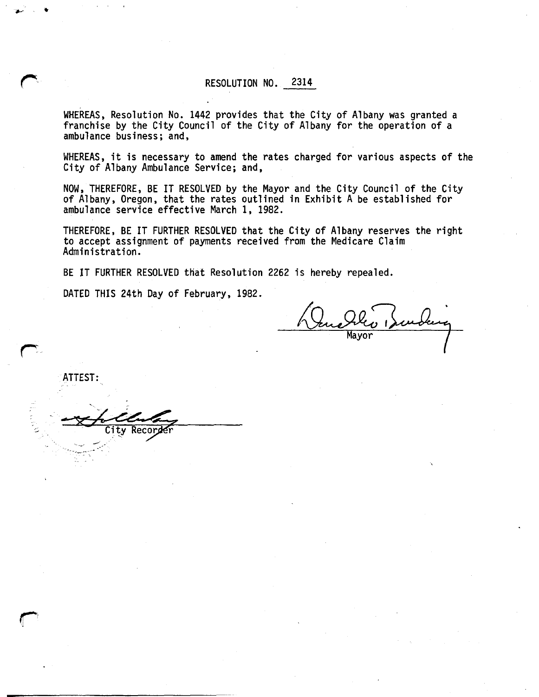## RESOLUTION NO. 2314

WHEREAS, Resolution No. 1442 provides that the City of Albany was granted a franchise by the City Council of the City of Albany for the operation of a ambulance business; and,

WHEREAS, it is necessary to amend the rates charged for various aspects of the City of Albany Ambulance Service; and,

NOW, THEREFORE, BE IT RESOLVED by the Mayor and the City Council of the City of Albany, Oregon, that the rates outlined in Exhibit A be established for ambulance service effective March 1, 1982.

THEREFORE, BE IT FURTHER RESOLVED that the City of Albany reserves the right to accept assignment of payments received from the Medicare Claim Administration.

BE IT FURTHER RESOLVED that Resolution 2262 is hereby repealed.

DATED THIS 24th Day of February, 1982.

Recorder

**Mayor** 

ATTEST: